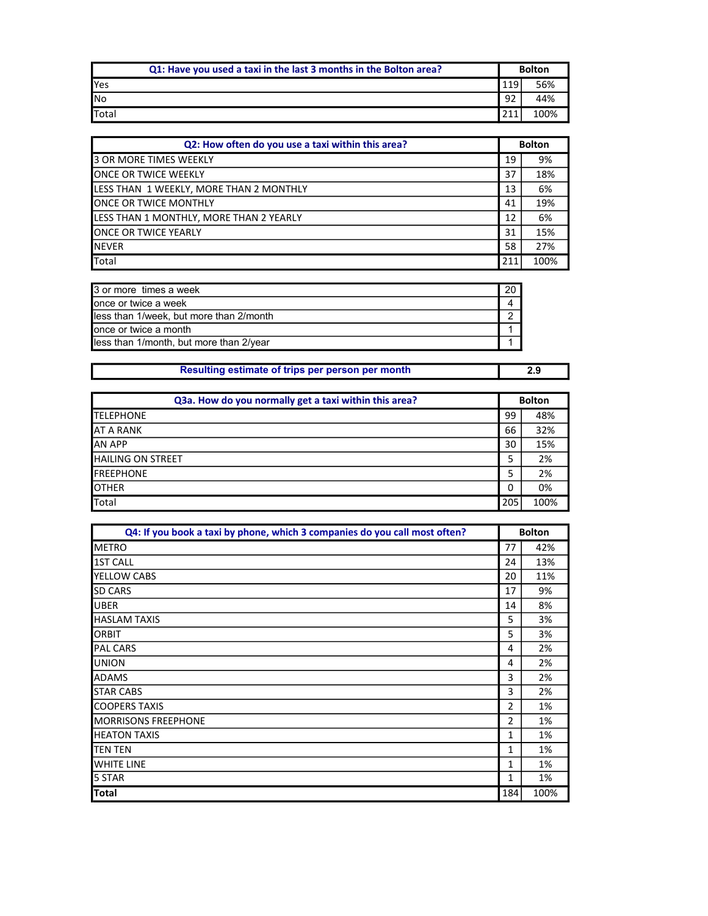| Q1: Have you used a taxi in the last 3 months in the Bolton area? | <b>Bolton</b> |      |
|-------------------------------------------------------------------|---------------|------|
| <b>I</b> Yes                                                      | 119           | 56%  |
| <b>I</b> No                                                       | 92            | 44%  |
| <b>I</b> Total                                                    | ำ1            | 100% |

| Q2: How often do you use a taxi within this area? | <b>Bolton</b> |      |
|---------------------------------------------------|---------------|------|
| 3 OR MORE TIMES WEEKLY                            | 19            | 9%   |
| ONCE OR TWICE WEEKLY                              | 37            | 18%  |
| LESS THAN 1 WEEKLY, MORE THAN 2 MONTHLY           | 13            | 6%   |
| ONCE OR TWICE MONTHLY                             | 41            | 19%  |
| LESS THAN 1 MONTHLY, MORE THAN 2 YEARLY           | 12            | 6%   |
| <b>ONCE OR TWICE YEARLY</b>                       | 31            | 15%  |
| <b>NEVER</b>                                      | 58            | 27%  |
| Total                                             | 211           | 100% |

| 3 or more times a week                  |  |
|-----------------------------------------|--|
| once or twice a week                    |  |
| less than 1/week, but more than 2/month |  |
| once or twice a month                   |  |
| less than 1/month, but more than 2/year |  |

| Resulting estimate of trips per person per month | 2.9 |
|--------------------------------------------------|-----|

| Q3a. How do you normally get a taxi within this area? | <b>Bolton</b> |      |
|-------------------------------------------------------|---------------|------|
| <b>TELEPHONE</b>                                      | 99            | 48%  |
| AT A RANK                                             | 66            | 32%  |
| <b>AN APP</b>                                         | 30            | 15%  |
| <b>HAILING ON STREET</b>                              | 5             | 2%   |
| <b>FREEPHONE</b>                                      |               | 2%   |
| <b>OTHER</b>                                          | 0             | 0%   |
| Total                                                 | 205           | 100% |

| Q4: If you book a taxi by phone, which 3 companies do you call most often? | <b>Bolton</b> |      |
|----------------------------------------------------------------------------|---------------|------|
| <b>METRO</b>                                                               | 77            | 42%  |
| <b>1ST CALL</b>                                                            | 24            | 13%  |
| <b>YELLOW CABS</b>                                                         | 20            | 11%  |
| <b>SD CARS</b>                                                             | 17            | 9%   |
| <b>UBER</b>                                                                | 14            | 8%   |
| <b>HASLAM TAXIS</b>                                                        | 5             | 3%   |
| <b>ORBIT</b>                                                               | 5             | 3%   |
| <b>PAL CARS</b>                                                            | 4             | 2%   |
| <b>UNION</b>                                                               | 4             | 2%   |
| <b>ADAMS</b>                                                               | 3             | 2%   |
| <b>STAR CABS</b>                                                           | 3             | 2%   |
| <b>COOPERS TAXIS</b>                                                       | 2             | 1%   |
| <b>MORRISONS FREEPHONE</b>                                                 | 2             | 1%   |
| <b>HEATON TAXIS</b>                                                        | 1             | 1%   |
| ITEN TEN                                                                   | 1             | 1%   |
| <b>WHITE LINE</b>                                                          | 1             | 1%   |
| 5 STAR                                                                     | 1             | 1%   |
| <b>Total</b>                                                               | 184           | 100% |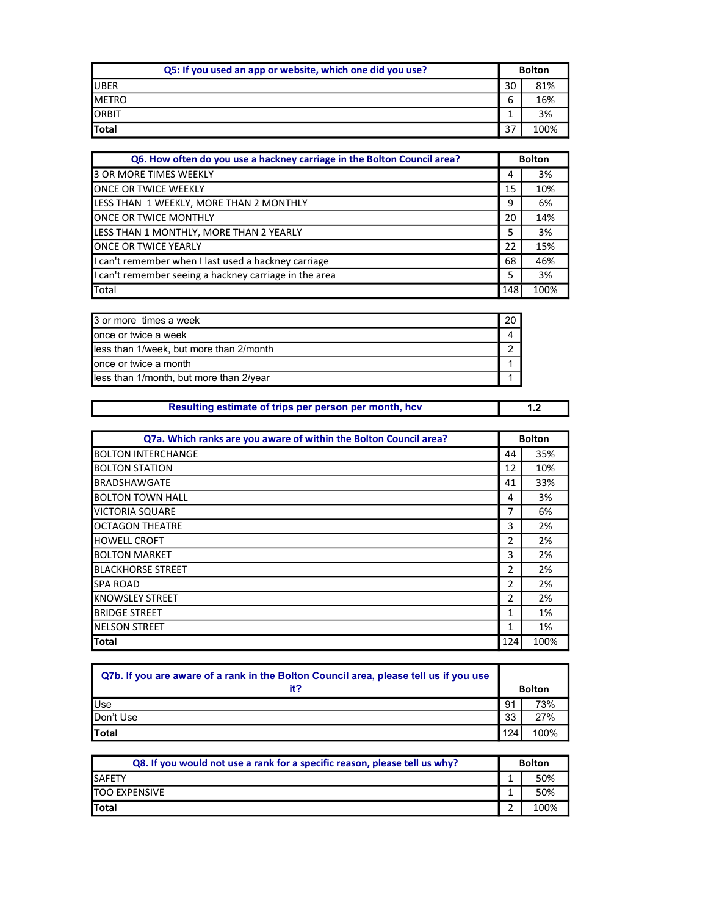| Q5: If you used an app or website, which one did you use? | <b>Bolton</b> |      |
|-----------------------------------------------------------|---------------|------|
| <b>UBER</b>                                               | 30            | 81%  |
| <b>METRO</b>                                              | b             | 16%  |
| <b>ORBIT</b>                                              |               | 3%   |
| <b>T</b> otal                                             | 37            | 100% |

| Q6. How often do you use a hackney carriage in the Bolton Council area? | <b>Bolton</b> |      |
|-------------------------------------------------------------------------|---------------|------|
| 3 OR MORE TIMES WEEKLY                                                  | 4             | 3%   |
| <b>ONCE OR TWICE WEEKLY</b>                                             | 15            | 10%  |
| LESS THAN 1 WEEKLY, MORE THAN 2 MONTHLY                                 | 9             | 6%   |
| ONCE OR TWICE MONTHLY                                                   | 20            | 14%  |
| LESS THAN 1 MONTHLY, MORE THAN 2 YEARLY                                 | 5             | 3%   |
| <b>JONCE OR TWICE YEARLY</b>                                            | 22            | 15%  |
| I can't remember when I last used a hackney carriage                    | 68            | 46%  |
| I can't remember seeing a hackney carriage in the area                  | 5             | 3%   |
| <b>Total</b>                                                            | 148           | 100% |

| 3 or more times a week                  | 20 |
|-----------------------------------------|----|
| once or twice a week                    |    |
| less than 1/week, but more than 2/month |    |
| lonce or twice a month                  |    |
| less than 1/month, but more than 2/year |    |

| Resulting estimate of trips per person per month, hcv |  |
|-------------------------------------------------------|--|

| Q7a. Which ranks are you aware of within the Bolton Council area? | <b>Bolton</b> |      |
|-------------------------------------------------------------------|---------------|------|
| <b>BOLTON INTERCHANGE</b>                                         | 44            | 35%  |
| <b>BOLTON STATION</b>                                             | 12            | 10%  |
| IBRADSHAWGATE                                                     | 41            | 33%  |
| BOLTON TOWN HALL                                                  | 4             | 3%   |
| <b>VICTORIA SQUARE</b>                                            | 7             | 6%   |
| <b>I</b> OCTAGON THEATRE                                          | 3             | 2%   |
| <b>HOWELL CROFT</b>                                               | 2             | 2%   |
| <b>BOLTON MARKET</b>                                              | 3             | 2%   |
| <b>BLACKHORSE STREET</b>                                          | 2             | 2%   |
| <b>SPA ROAD</b>                                                   | 2             | 2%   |
| <b>KNOWSLEY STREET</b>                                            | 2             | 2%   |
| <b>BRIDGE STREET</b>                                              | 1             | 1%   |
| <b>INELSON STREET</b>                                             | 1             | 1%   |
| <b>Total</b>                                                      | 124           | 100% |

| Q7b. If you are aware of a rank in the Bolton Council area, please tell us if you use |     |               |
|---------------------------------------------------------------------------------------|-----|---------------|
| it?                                                                                   |     | <b>Bolton</b> |
| <b>Use</b>                                                                            | 91  | 73%           |
| Don't Use                                                                             | 33  | 27%           |
| <b>I</b> Total                                                                        | 124 | 100%          |

| Q8. If you would not use a rank for a specific reason, please tell us why? | <b>Bolton</b> |      |
|----------------------------------------------------------------------------|---------------|------|
| <b>SAFETY</b>                                                              |               | 50%  |
| <b>TOO EXPENSIVE</b>                                                       |               | 50%  |
| <b>Total</b>                                                               |               | 100% |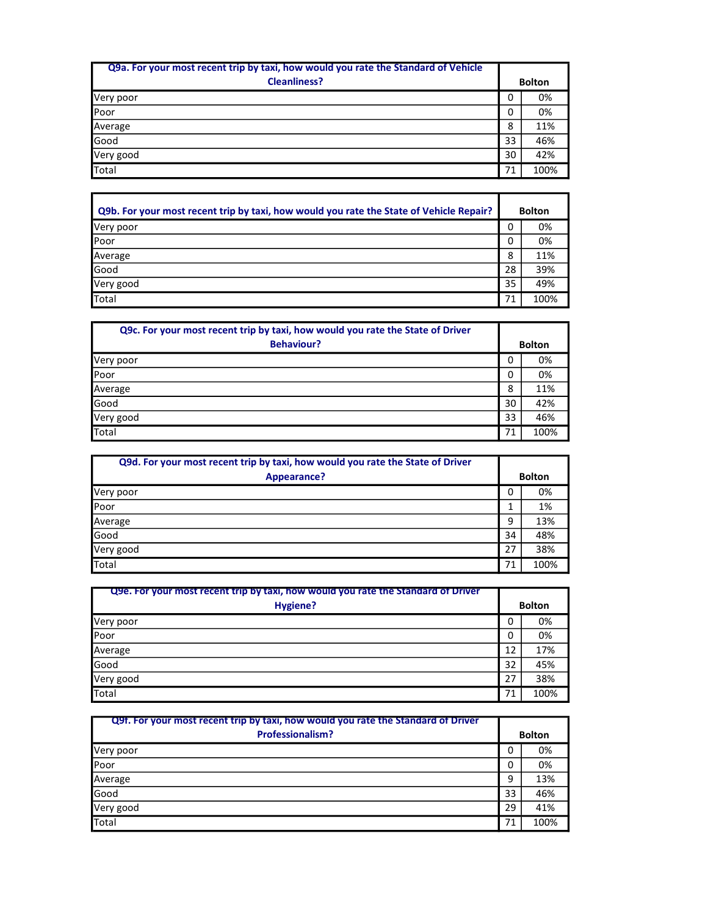| Q9a. For your most recent trip by taxi, how would you rate the Standard of Vehicle<br><b>Cleanliness?</b> | <b>Bolton</b> |      |
|-----------------------------------------------------------------------------------------------------------|---------------|------|
| Very poor                                                                                                 | 0             | 0%   |
| Poor                                                                                                      | 0             | 0%   |
| Average                                                                                                   | 8             | 11%  |
| Good                                                                                                      | 33            | 46%  |
| Very good                                                                                                 | 30            | 42%  |
| Total                                                                                                     | 71            | 100% |

| Q9b. For your most recent trip by taxi, how would you rate the State of Vehicle Repair? | <b>Bolton</b> |      |
|-----------------------------------------------------------------------------------------|---------------|------|
| Very poor                                                                               | 0             | 0%   |
| Poor                                                                                    | 0             | 0%   |
| Average                                                                                 | 8             | 11%  |
| Good                                                                                    | 28            | 39%  |
| Very good                                                                               | 35            | 49%  |
| Total                                                                                   | 71            | 100% |

| Q9c. For your most recent trip by taxi, how would you rate the State of Driver<br><b>Behaviour?</b> | <b>Bolton</b> |      |
|-----------------------------------------------------------------------------------------------------|---------------|------|
| Very poor                                                                                           | 0             | 0%   |
| Poor                                                                                                | 0             | 0%   |
| Average                                                                                             | 8             | 11%  |
| Good                                                                                                | 30            | 42%  |
| Very good                                                                                           | 33            | 46%  |
| Total                                                                                               | 71            | 100% |

| Q9d. For your most recent trip by taxi, how would you rate the State of Driver<br>Appearance? | <b>Bolton</b> |      |
|-----------------------------------------------------------------------------------------------|---------------|------|
| Very poor                                                                                     | 0             | 0%   |
| Poor                                                                                          |               | 1%   |
| Average                                                                                       | 9             | 13%  |
| Good                                                                                          | 34            | 48%  |
| Very good                                                                                     | 27            | 38%  |
| Total                                                                                         | 71            | 100% |

| Q9e. For your most recent trip by taxi, how would you rate the Standard of Driver<br>Hygiene? | <b>Bolton</b> |      |
|-----------------------------------------------------------------------------------------------|---------------|------|
| Very poor                                                                                     | 0             | 0%   |
| Poor                                                                                          | 0             | 0%   |
| Average                                                                                       | 12            | 17%  |
| Good                                                                                          | 32            | 45%  |
| Very good                                                                                     | 27            | 38%  |
| Total                                                                                         | 71            | 100% |

| <b>Q9f. For your most recent trip by taxi, how would you rate the Standard of Driver</b><br><b>Professionalism?</b> | <b>Bolton</b> |      |
|---------------------------------------------------------------------------------------------------------------------|---------------|------|
| Very poor                                                                                                           | 0             | 0%   |
| Poor                                                                                                                | 0             | 0%   |
| Average                                                                                                             | 9             | 13%  |
| Good                                                                                                                | 33            | 46%  |
| Very good                                                                                                           | 29            | 41%  |
| Total                                                                                                               | 71            | 100% |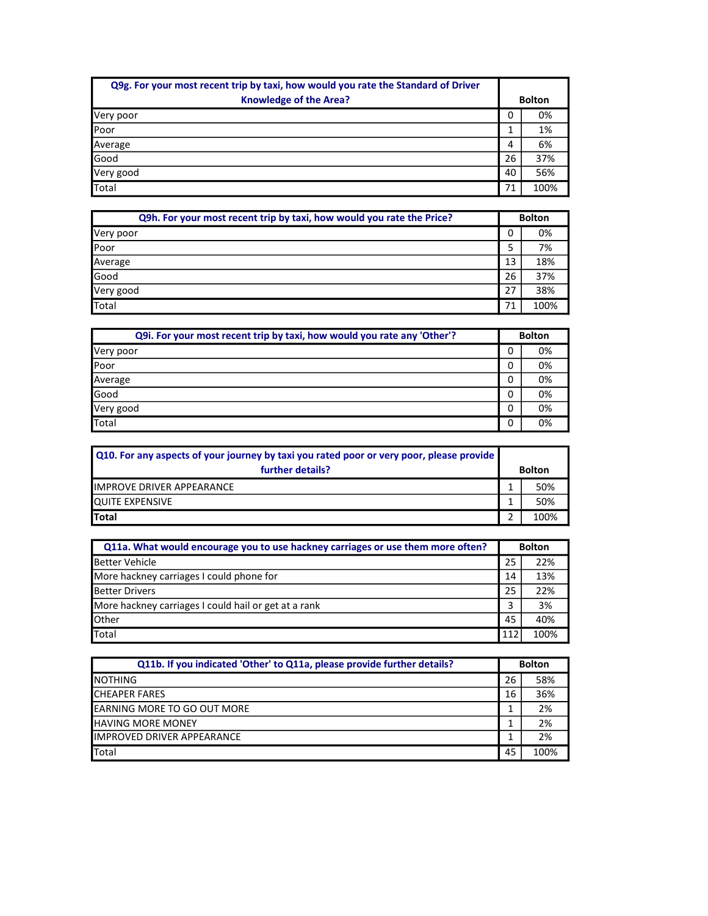| Q9g. For your most recent trip by taxi, how would you rate the Standard of Driver<br><b>Knowledge of the Area?</b> |    | <b>Bolton</b> |
|--------------------------------------------------------------------------------------------------------------------|----|---------------|
|                                                                                                                    |    |               |
| Very poor                                                                                                          | 0  | 0%            |
| Poor                                                                                                               |    | 1%            |
| Average                                                                                                            | 4  | 6%            |
| Good                                                                                                               | 26 | 37%           |
| Very good                                                                                                          | 40 | 56%           |
| Total                                                                                                              | 71 | 100%          |

| Q9h. For your most recent trip by taxi, how would you rate the Price? | <b>Bolton</b> |      |
|-----------------------------------------------------------------------|---------------|------|
| Very poor                                                             | 0             | 0%   |
| Poor                                                                  | 5             | 7%   |
| Average                                                               | 13            | 18%  |
| Good                                                                  | 26            | 37%  |
| Very good                                                             | 27            | 38%  |
| Total                                                                 | 71            | 100% |

| Q9i. For your most recent trip by taxi, how would you rate any 'Other'? | <b>Bolton</b> |    |
|-------------------------------------------------------------------------|---------------|----|
| Very poor                                                               | 0             | 0% |
| Poor                                                                    | 0             | 0% |
| Average                                                                 | 0             | 0% |
| Good                                                                    | 0             | 0% |
| Very good                                                               | 0             | 0% |
| Total                                                                   | 0             | 0% |

| Q10. For any aspects of your journey by taxi you rated poor or very poor, please provide<br>further details? |   | <b>Bolton</b> |
|--------------------------------------------------------------------------------------------------------------|---|---------------|
| IMPROVE DRIVER APPEARANCE                                                                                    |   | 50%           |
| <b>QUITE EXPENSIVE</b>                                                                                       |   | 50%           |
| <b>Total</b>                                                                                                 | ◠ | 100%          |

| Q11a. What would encourage you to use hackney carriages or use them more often? | <b>Bolton</b> |      |
|---------------------------------------------------------------------------------|---------------|------|
| <b>Better Vehicle</b>                                                           | 25            | 22%  |
| More hackney carriages I could phone for                                        | 14            | 13%  |
| <b>Better Drivers</b>                                                           | 25            | 22%  |
| More hackney carriages I could hail or get at a rank                            |               | 3%   |
| Other                                                                           | 45            | 40%  |
| Total                                                                           | 112           | 100% |

| Q11b. If you indicated 'Other' to Q11a, please provide further details? | <b>Bolton</b> |      |
|-------------------------------------------------------------------------|---------------|------|
| <b>INOTHING</b>                                                         | 26            | 58%  |
| <b>CHEAPER FARES</b>                                                    | 16            | 36%  |
| <b>IEARNING MORE TO GO OUT MORE</b>                                     |               | 2%   |
| <b>IHAVING MORE MONEY</b>                                               |               | 2%   |
| <b>IIMPROVED DRIVER APPEARANCE</b>                                      |               | 2%   |
| <b>Total</b>                                                            | 45            | 100% |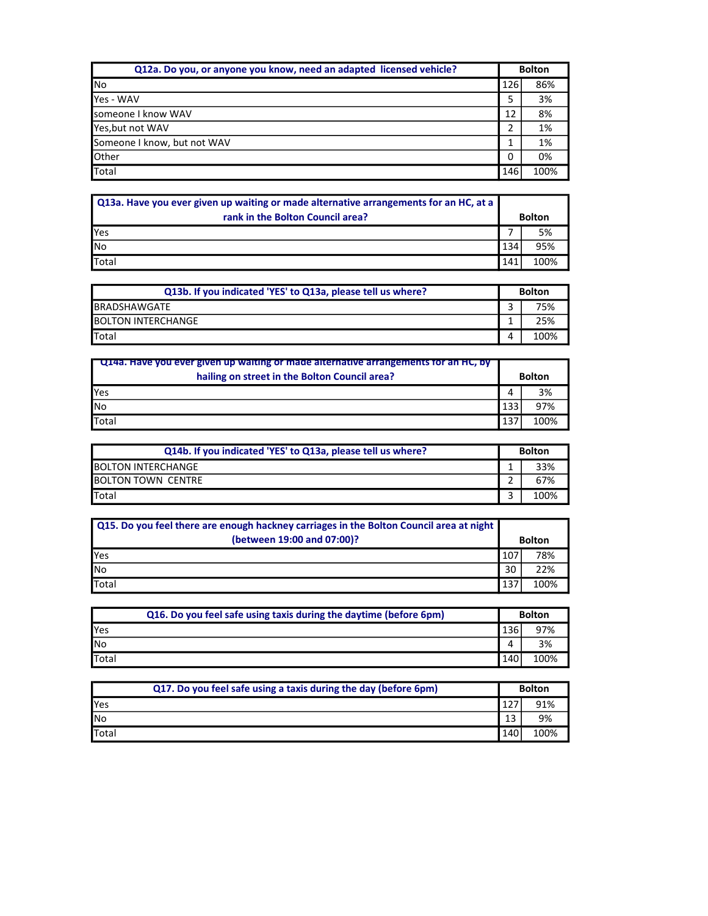| Q12a. Do you, or anyone you know, need an adapted licensed vehicle? | <b>Bolton</b> |      |
|---------------------------------------------------------------------|---------------|------|
| <b>No</b>                                                           | 126           | 86%  |
| Yes - WAV                                                           |               | 3%   |
| someone I know WAV                                                  | 12            | 8%   |
| Yes, but not WAV                                                    |               | 1%   |
| Someone I know, but not WAV                                         |               | 1%   |
| <b>Other</b>                                                        | 0             | 0%   |
| Total                                                               | 146           | 100% |

| Q13a. Have you ever given up waiting or made alternative arrangements for an HC, at a<br>rank in the Bolton Council area? |     | <b>Bolton</b> |
|---------------------------------------------------------------------------------------------------------------------------|-----|---------------|
| Yes                                                                                                                       |     | 5%            |
| No                                                                                                                        | 134 | 95%           |
| Total                                                                                                                     | 141 | 100%          |

| Q13b. If you indicated 'YES' to Q13a, please tell us where? | <b>Bolton</b> |      |
|-------------------------------------------------------------|---------------|------|
| <b>I</b> BRADSHAWGATE                                       |               | 75%  |
| <b>BOLTON INTERCHANGE</b>                                   |               | 25%  |
| <b>I</b> Total                                              |               | 100% |

| <b>Q14a. Have you ever given up waiting or made alternative arrangements for an HC, by</b><br>hailing on street in the Bolton Council area? |     | <b>Bolton</b> |
|---------------------------------------------------------------------------------------------------------------------------------------------|-----|---------------|
| <b>Yes</b>                                                                                                                                  |     | 3%            |
| <b>No</b>                                                                                                                                   | 133 | 97%           |
| Total                                                                                                                                       | 137 | 100%          |

| Q14b. If you indicated 'YES' to Q13a, please tell us where? | <b>Bolton</b> |      |
|-------------------------------------------------------------|---------------|------|
| <b>BOLTON INTERCHANGE</b>                                   |               | 33%  |
| <b>BOLTON TOWN CENTRE</b>                                   |               | 67%  |
| <b>T</b> otal                                               |               | 100% |

| Q15. Do you feel there are enough hackney carriages in the Bolton Council area at night<br>(between 19:00 and 07:00)? |     | <b>Bolton</b> |
|-----------------------------------------------------------------------------------------------------------------------|-----|---------------|
| <b>I</b> Yes                                                                                                          | 107 | 78%           |
| <b>No</b>                                                                                                             | 30  | 22%           |
| Total                                                                                                                 | 137 | 100%          |

| Q16. Do you feel safe using taxis during the daytime (before 6pm) | <b>Bolton</b> |      |
|-------------------------------------------------------------------|---------------|------|
| <b>Yes</b>                                                        | 136           | 97%  |
| <b>I</b> No                                                       | 4             |      |
| <b>T</b> otal                                                     | 140           | 100% |

| Q17. Do you feel safe using a taxis during the day (before 6pm) | <b>Bolton</b> |      |
|-----------------------------------------------------------------|---------------|------|
| <b>I</b> Yes                                                    |               | 91%  |
| <b>I</b> No                                                     | 12            | 9%   |
| <b>I</b> Total                                                  | 140           | 100% |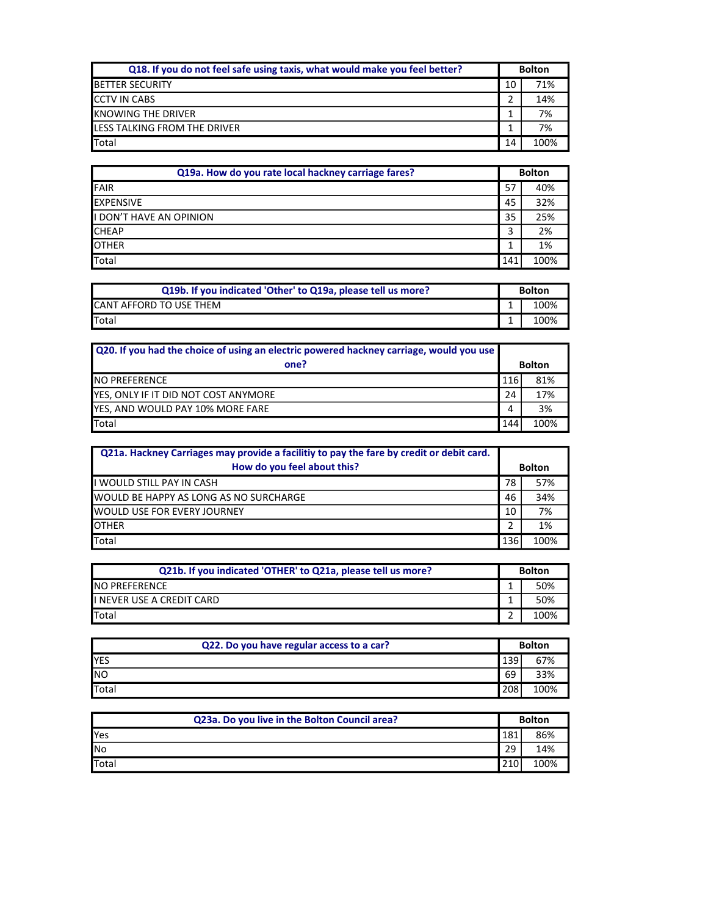| Q18. If you do not feel safe using taxis, what would make you feel better? | <b>Bolton</b> |      |
|----------------------------------------------------------------------------|---------------|------|
| <b>IBETTER SECURITY</b>                                                    | 10            | 71%  |
| <b>CCTV IN CABS</b>                                                        |               | 14%  |
| <b>IKNOWING THE DRIVER</b>                                                 |               | 7%   |
| LESS TALKING FROM THE DRIVER                                               |               | 7%   |
| <b>I</b> Total                                                             | 14            | 100% |

| Q19a. How do you rate local hackney carriage fares? | <b>Bolton</b> |      |
|-----------------------------------------------------|---------------|------|
| FAIR                                                | 57            | 40%  |
| <b>EXPENSIVE</b>                                    | 45            | 32%  |
| I DON'T HAVE AN OPINION                             | 35            | 25%  |
| <b>CHEAP</b>                                        | 3             | 2%   |
| <b>OTHER</b>                                        | 1             | 1%   |
| Total                                               | 141           | 100% |

| Q19b. If you indicated 'Other' to Q19a, please tell us more? | <b>Bolton</b> |      |
|--------------------------------------------------------------|---------------|------|
| <b>I</b> CANT AFFORD TO USE THEM                             |               | 100% |
| <b>I</b> Total                                               |               | 100% |

| Q20. If you had the choice of using an electric powered hackney carriage, would you use |               |      |
|-----------------------------------------------------------------------------------------|---------------|------|
| one?                                                                                    | <b>Bolton</b> |      |
| <b>INO PREFERENCE</b>                                                                   | 116!          | 81%  |
| YES, ONLY IF IT DID NOT COST ANYMORE                                                    | 24            | 17%  |
| YES, AND WOULD PAY 10% MORE FARE                                                        | 4             | 3%   |
| Total                                                                                   | 144           | 100% |

| Q21a. Hackney Carriages may provide a facilitiy to pay the fare by credit or debit card. |               |      |
|------------------------------------------------------------------------------------------|---------------|------|
| How do you feel about this?                                                              | <b>Bolton</b> |      |
| I WOULD STILL PAY IN CASH                                                                | 78            | 57%  |
| <b>WOULD BE HAPPY AS LONG AS NO SURCHARGE</b>                                            | 46            | 34%  |
| <b>I</b> WOULD USE FOR EVERY JOURNEY                                                     | 10            | 7%   |
| <b>OTHER</b>                                                                             |               | 1%   |
| Total                                                                                    | 136           | 100% |

| Q21b. If you indicated 'OTHER' to Q21a, please tell us more? | <b>Bolton</b> |      |
|--------------------------------------------------------------|---------------|------|
| <b>INO PREFERENCE</b>                                        |               | 50%  |
| II NEVER USE A CREDIT CARD                                   |               | 50%  |
| <b>I</b> Total                                               |               | 100% |

| Q22. Do you have regular access to a car? |     | <b>Bolton</b> |  |
|-------------------------------------------|-----|---------------|--|
| <b>IYES</b>                               | 139 | 67%           |  |
| <b>NO</b>                                 | 69  | 33%           |  |
| <b>T</b> otal                             | 208 | 100%          |  |

| Q23a. Do you live in the Bolton Council area? | <b>Bolton</b> |      |
|-----------------------------------------------|---------------|------|
| <b>Yes</b>                                    | 181           | 86%  |
| <b>No</b>                                     | 29            | 14%  |
| Total                                         | 210           | 100% |